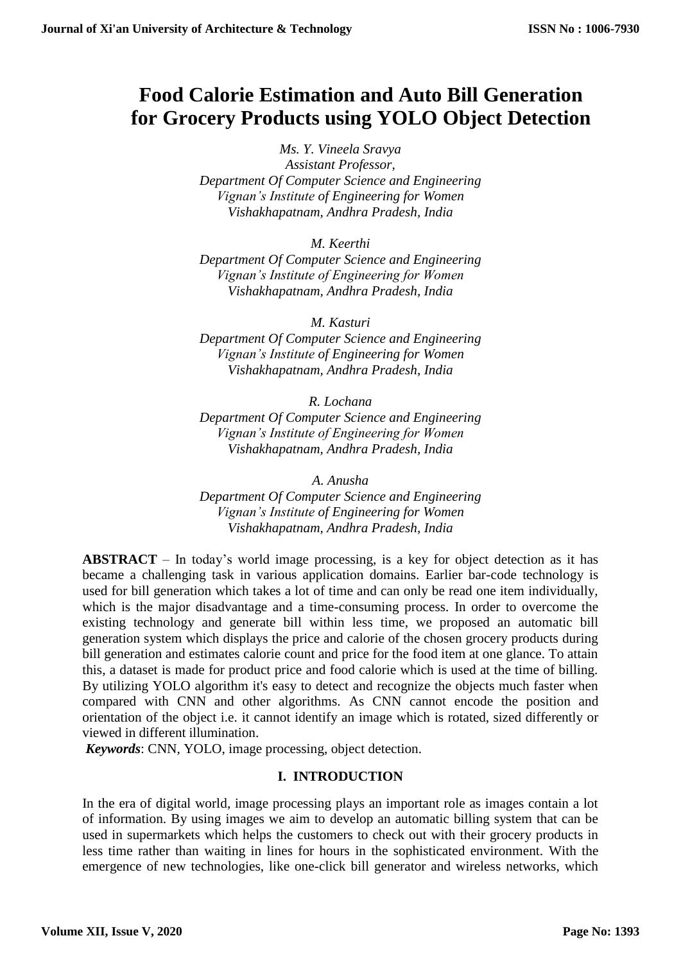# **Food Calorie Estimation and Auto Bill Generation for Grocery Products using YOLO Object Detection**

*Ms. Y. Vineela Sravya Assistant Professor, Department Of Computer Science and Engineering Vignan's Institute of Engineering for Women Vishakhapatnam, Andhra Pradesh, India*

*M. Keerthi*

*Department Of Computer Science and Engineering Vignan's Institute of Engineering for Women Vishakhapatnam, Andhra Pradesh, India*

*M. Kasturi*

*Department Of Computer Science and Engineering Vignan's Institute of Engineering for Women Vishakhapatnam, Andhra Pradesh, India*

*R. Lochana Department Of Computer Science and Engineering Vignan's Institute of Engineering for Women Vishakhapatnam, Andhra Pradesh, India*

*A. Anusha Department Of Computer Science and Engineering Vignan's Institute of Engineering for Women Vishakhapatnam, Andhra Pradesh, India*

**ABSTRACT** – In today's world image processing, is a key for object detection as it has became a challenging task in various application domains. Earlier bar-code technology is used for bill generation which takes a lot of time and can only be read one item individually, which is the major disadvantage and a time-consuming process. In order to overcome the existing technology and generate bill within less time, we proposed an automatic bill generation system which displays the price and calorie of the chosen grocery products during bill generation and estimates calorie count and price for the food item at one glance. To attain this, a dataset is made for product price and food calorie which is used at the time of billing. By utilizing YOLO algorithm it's easy to detect and recognize the objects much faster when compared with CNN and other algorithms. As CNN cannot encode the position and orientation of the object i.e. it cannot identify an image which is rotated, sized differently or viewed in different illumination.

*Keywords*: CNN, YOLO, image processing, object detection.

## **I. INTRODUCTION**

In the era of digital world, image processing plays an important role as images contain a lot of information. By using images we aim to develop an automatic billing system that can be used in supermarkets which helps the customers to check out with their grocery products in less time rather than waiting in lines for hours in the sophisticated environment. With the emergence of new technologies, like one-click bill generator and wireless networks, which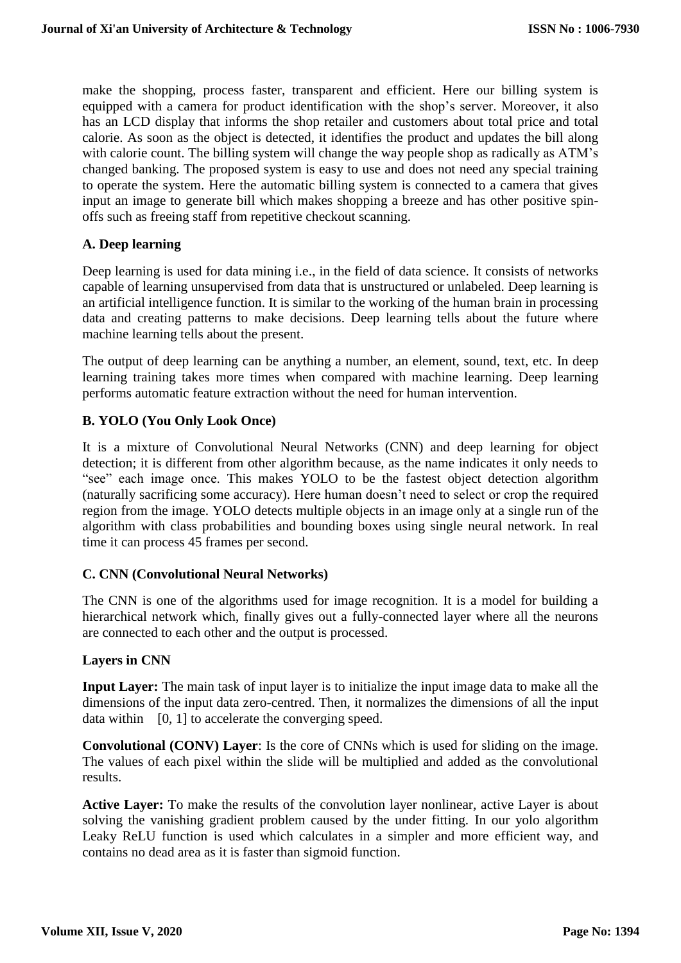make the shopping, process faster, transparent and efficient. Here our billing system is equipped with a camera for product identification with the shop's server. Moreover, it also has an LCD display that informs the shop retailer and customers about total price and total calorie. As soon as the object is detected, it identifies the product and updates the bill along with calorie count. The billing system will change the way people shop as radically as ATM's changed banking. The proposed system is easy to use and does not need any special training to operate the system. Here the automatic billing system is connected to a camera that gives input an image to generate bill which makes shopping a breeze and has other positive spinoffs such as freeing staff from repetitive checkout scanning.

#### **A. Deep learning**

Deep learning is used for data mining i.e., in the field of data science. It consists of networks capable of learning unsupervised from data that is unstructured or unlabeled. Deep learning is an artificial intelligence function. It is similar to the working of the human brain in processing data and creating patterns to make decisions. Deep learning tells about the future where machine learning tells about the present.

The output of deep learning can be anything a number, an element, sound, text, etc. In deep learning training takes more times when compared with machine learning. Deep learning performs automatic feature extraction without the need for human intervention.

#### **B. YOLO (You Only Look Once)**

It is a mixture of Convolutional Neural Networks (CNN) and deep learning for object detection; it is different from other algorithm because, as the name indicates it only needs to "see" each image once. This makes YOLO to be the fastest object detection algorithm (naturally sacrificing some accuracy). Here human doesn't need to select or crop the required region from the image. YOLO detects multiple objects in an image only at a single run of the algorithm with class probabilities and bounding boxes using single neural network. In real time it can process 45 frames per second.

## **C. CNN (Convolutional Neural Networks)**

The CNN is one of the algorithms used for image recognition. It is a model for building a hierarchical network which, finally gives out a fully-connected layer where all the neurons are connected to each other and the output is processed.

#### **Layers in CNN**

**Input Layer:** The main task of input layer is to initialize the input image data to make all the dimensions of the input data zero-centred. Then, it normalizes the dimensions of all the input data within [0, 1] to accelerate the converging speed.

**Convolutional (CONV) Layer**: Is the core of CNNs which is used for sliding on the image. The values of each pixel within the slide will be multiplied and added as the convolutional results.

**Active Layer:** To make the results of the convolution layer nonlinear, active Layer is about solving the vanishing gradient problem caused by the under fitting. In our yolo algorithm Leaky ReLU function is used which calculates in a simpler and more efficient way, and contains no dead area as it is faster than sigmoid function.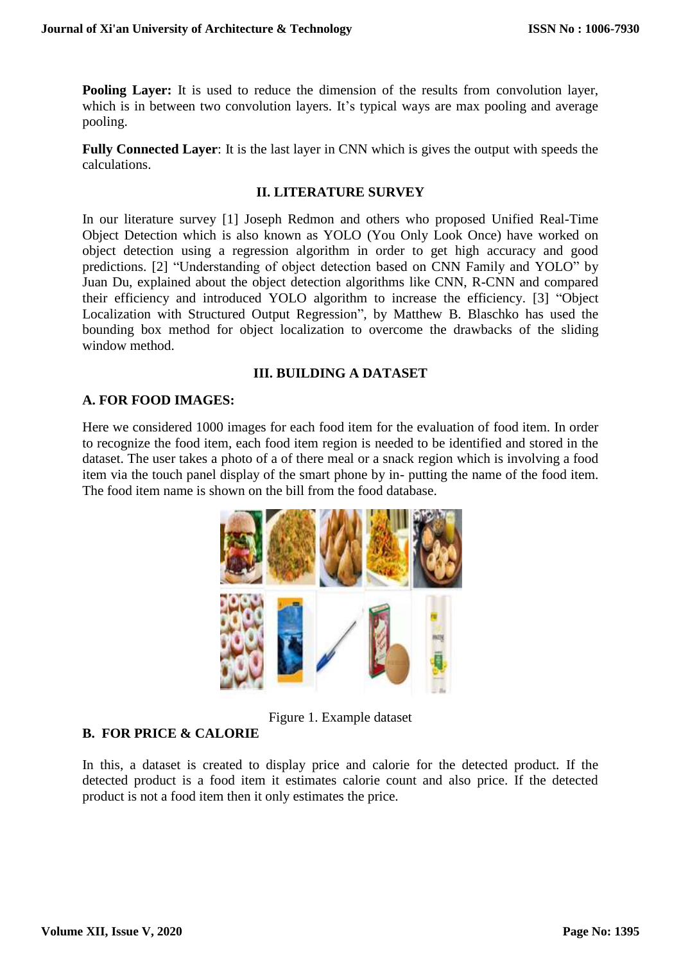**Pooling Layer:** It is used to reduce the dimension of the results from convolution layer, which is in between two convolution layers. It's typical ways are max pooling and average pooling.

**Fully Connected Layer**: It is the last layer in CNN which is gives the output with speeds the calculations.

#### **II. LITERATURE SURVEY**

In our literature survey [1] Joseph Redmon and others who proposed Unified Real-Time Object Detection which is also known as YOLO (You Only Look Once) have worked on object detection using a regression algorithm in order to get high accuracy and good predictions. [2] "Understanding of object detection based on CNN Family and YOLO" by Juan Du, explained about the object detection algorithms like CNN, R-CNN and compared their efficiency and introduced YOLO algorithm to increase the efficiency. [3] "Object Localization with Structured Output Regression", by Matthew B. Blaschko has used the bounding box method for object localization to overcome the drawbacks of the sliding window method.

## **III. BUILDING A DATASET**

# **A. FOR FOOD IMAGES:**

Here we considered 1000 images for each food item for the evaluation of food item. In order to recognize the food item, each food item region is needed to be identified and stored in the dataset. The user takes a photo of a of there meal or a snack region which is involving a food item via the touch panel display of the smart phone by in- putting the name of the food item. The food item name is shown on the bill from the food database.



Figure 1. Example dataset

## **B. FOR PRICE & CALORIE**

In this, a dataset is created to display price and calorie for the detected product. If the detected product is a food item it estimates calorie count and also price. If the detected product is not a food item then it only estimates the price.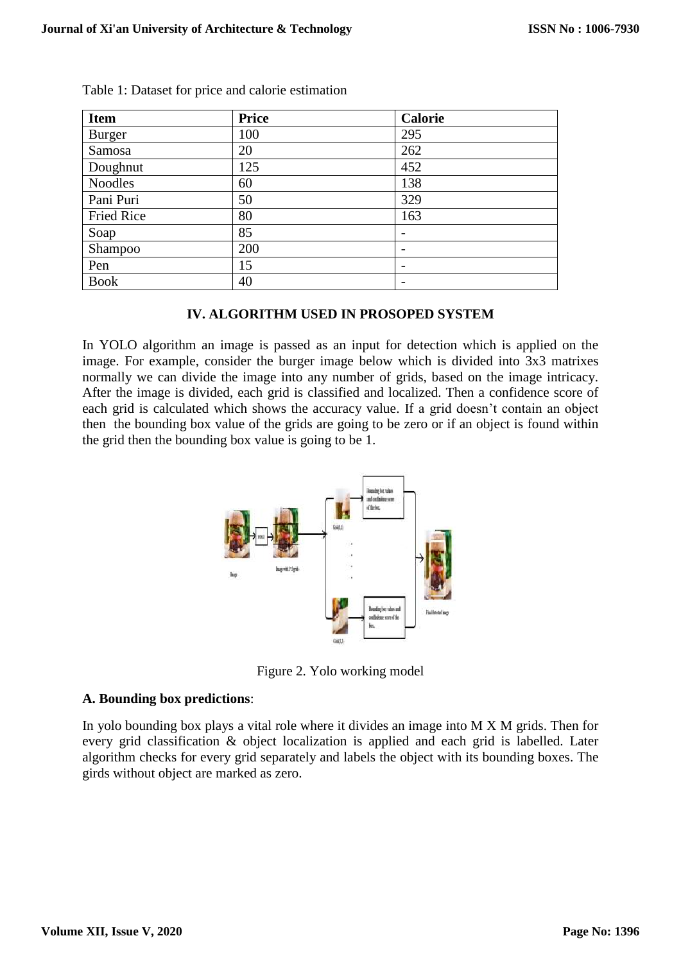| <b>Item</b>       | <b>Price</b> | <b>Calorie</b>           |
|-------------------|--------------|--------------------------|
| Burger            | 100          | 295                      |
| Samosa            | 20           | 262                      |
| Doughnut          | 125          | 452                      |
| <b>Noodles</b>    | 60           | 138                      |
| Pani Puri         | 50           | 329                      |
| <b>Fried Rice</b> | 80           | 163                      |
| Soap              | 85           | -                        |
| Shampoo           | 200          | -                        |
| Pen               | 15           | $\overline{\phantom{0}}$ |
| <b>Book</b>       | 40           | $\overline{\phantom{0}}$ |

Table 1: Dataset for price and calorie estimation

## **IV. ALGORITHM USED IN PROSOPED SYSTEM**

In YOLO algorithm an image is passed as an input for detection which is applied on the image. For example, consider the burger image below which is divided into 3x3 matrixes normally we can divide the image into any number of grids, based on the image intricacy. After the image is divided, each grid is classified and localized. Then a confidence score of each grid is calculated which shows the accuracy value. If a grid doesn't contain an object then the bounding box value of the grids are going to be zero or if an object is found within the grid then the bounding box value is going to be 1.



Figure 2. Yolo working model

#### **A. Bounding box predictions**:

In yolo bounding box plays a vital role where it divides an image into M X M grids. Then for every grid classification & object localization is applied and each grid is labelled. Later algorithm checks for every grid separately and labels the object with its bounding boxes. The girds without object are marked as zero.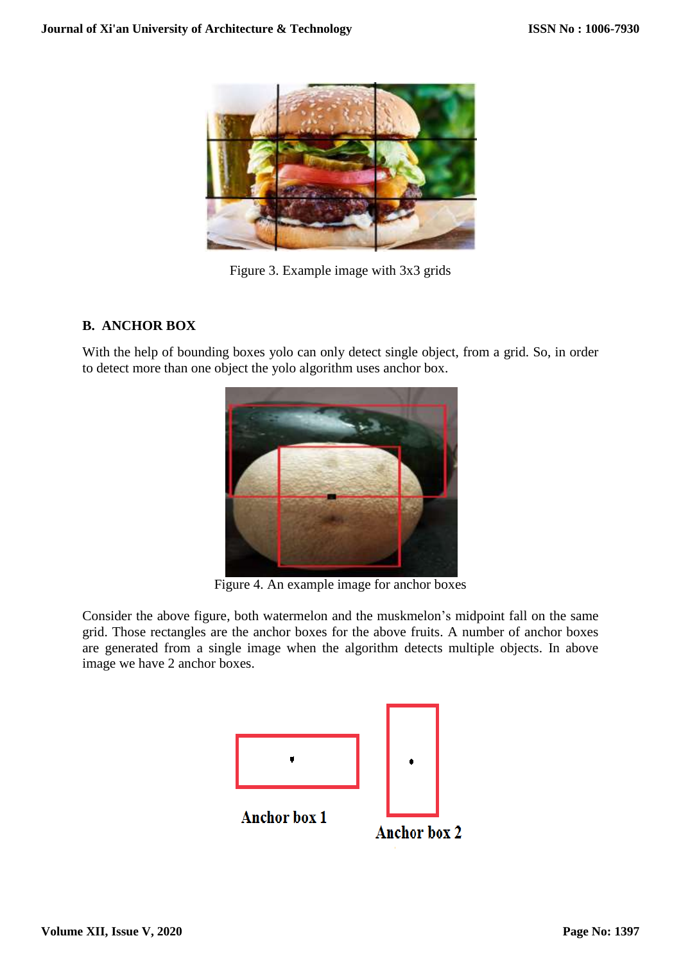

Figure 3. Example image with 3x3 grids

# **B. ANCHOR BOX**

With the help of bounding boxes yolo can only detect single object, from a grid. So, in order to detect more than one object the yolo algorithm uses anchor box.



Figure 4. An example image for anchor boxes

Consider the above figure, both watermelon and the muskmelon's midpoint fall on the same grid. Those rectangles are the anchor boxes for the above fruits. A number of anchor boxes are generated from a single image when the algorithm detects multiple objects. In above image we have 2 anchor boxes.

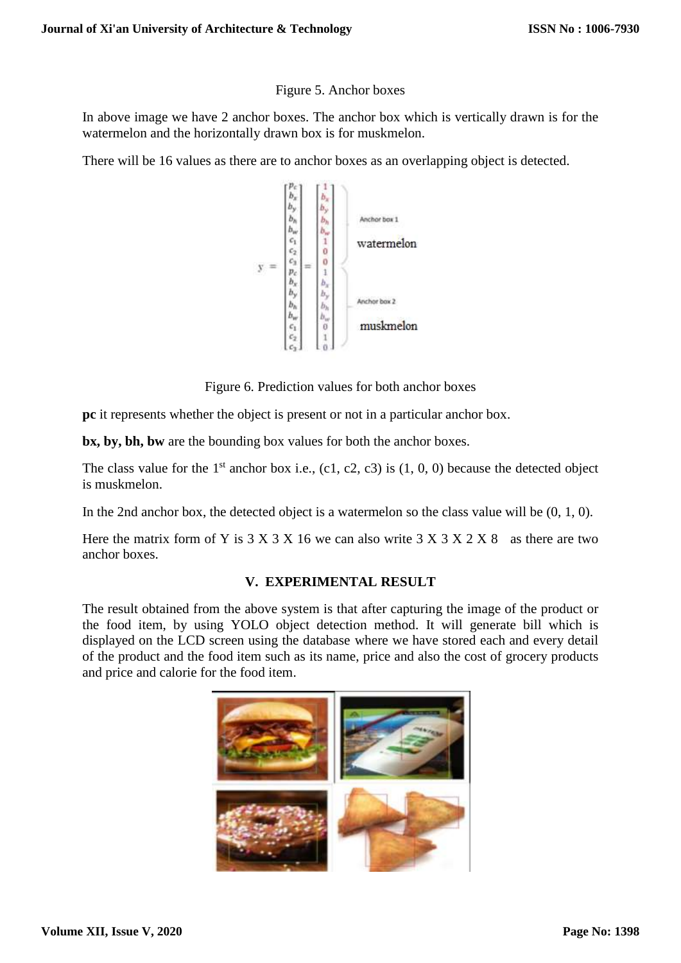#### Figure 5. Anchor boxes

In above image we have 2 anchor boxes. The anchor box which is vertically drawn is for the watermelon and the horizontally drawn box is for muskmelon.

There will be 16 values as there are to anchor boxes as an overlapping object is detected.



Figure 6. Prediction values for both anchor boxes

**pc** it represents whether the object is present or not in a particular anchor box.

**bx, by, bh, bw** are the bounding box values for both the anchor boxes.

The class value for the 1<sup>st</sup> anchor box i.e., (c1, c2, c3) is  $(1, 0, 0)$  because the detected object is muskmelon.

In the 2nd anchor box, the detected object is a watermelon so the class value will be (0, 1, 0).

Here the matrix form of Y is  $3 \times 3 \times 16$  we can also write  $3 \times 3 \times 2 \times 8$  as there are two anchor boxes.

#### **V. EXPERIMENTAL RESULT**

The result obtained from the above system is that after capturing the image of the product or the food item, by using YOLO object detection method. It will generate bill which is displayed on the LCD screen using the database where we have stored each and every detail of the product and the food item such as its name, price and also the cost of grocery products and price and calorie for the food item.